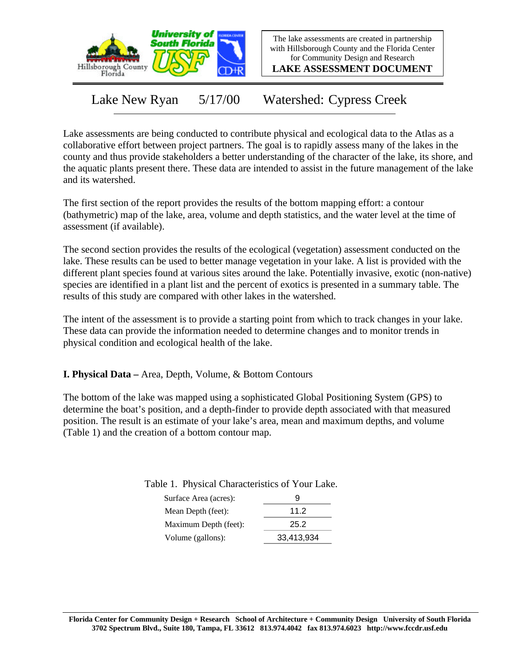

The lake assessments are created in partnership with Hillsborough County and the Florida Center for Community Design and Research

**LAKE ASSESSMENT DOCUMENT**

Lake New Ryan 5/17/00 Watershed: Cypress Creek

Lake assessments are being conducted to contribute physical and ecological data to the Atlas as a collaborative effort between project partners. The goal is to rapidly assess many of the lakes in the county and thus provide stakeholders a better understanding of the character of the lake, its shore, and the aquatic plants present there. These data are intended to assist in the future management of the lake and its watershed.

The first section of the report provides the results of the bottom mapping effort: a contour (bathymetric) map of the lake, area, volume and depth statistics, and the water level at the time of assessment (if available).

The second section provides the results of the ecological (vegetation) assessment conducted on the lake. These results can be used to better manage vegetation in your lake. A list is provided with the different plant species found at various sites around the lake. Potentially invasive, exotic (non-native) species are identified in a plant list and the percent of exotics is presented in a summary table. The results of this study are compared with other lakes in the watershed.

The intent of the assessment is to provide a starting point from which to track changes in your lake. These data can provide the information needed to determine changes and to monitor trends in physical condition and ecological health of the lake.

**I. Physical Data –** Area, Depth, Volume, & Bottom Contours

The bottom of the lake was mapped using a sophisticated Global Positioning System (GPS) to determine the boat's position, and a depth-finder to provide depth associated with that measured position. The result is an estimate of your lake's area, mean and maximum depths, and volume (Table 1) and the creation of a bottom contour map.

| Surface Area (acres): | 9          |
|-----------------------|------------|
| Mean Depth (feet):    | 11.2       |
| Maximum Depth (feet): | 25.2       |
| Volume (gallons):     | 33,413,934 |

Table 1. Physical Characteristics of Your Lake.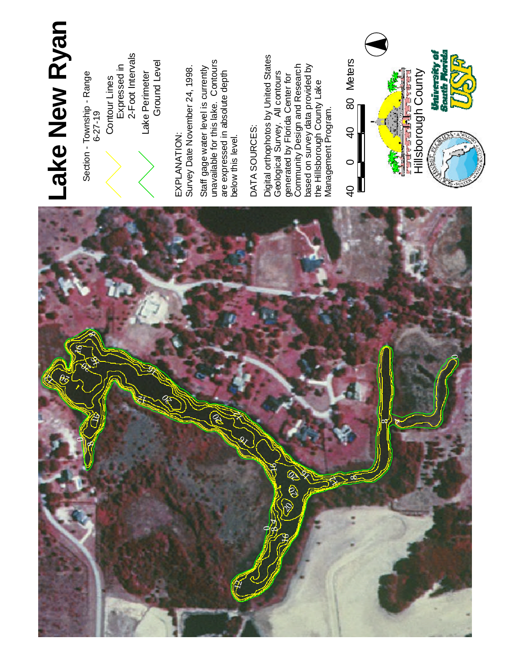

## **L a k e N e w R y a n**

Section - Township - Range 6 - 2 7 - 1 9

Contour Lines<br>Expressed in<br>2-Foot Intervals

L a k e Perimeter Ground L e v el

E X P L A N ATIO N : S u r v e y Date November 24, 1998. Staff gage w at e r le v el is currently u n a v aila ble for this lake. Contours a r e expressed in a b s olu t e d e p t h below this level.

# D AT A SOURCES:

Digit al orthophotos b y U nit e d **States** G e olo gic al Survey. All contours generated b y 운 rid a Center for com m u nit y Design a n d **Research** b a s e d o n s u r v e y d a t a provided b y t h e Hillsborough County L a k e Management Program.

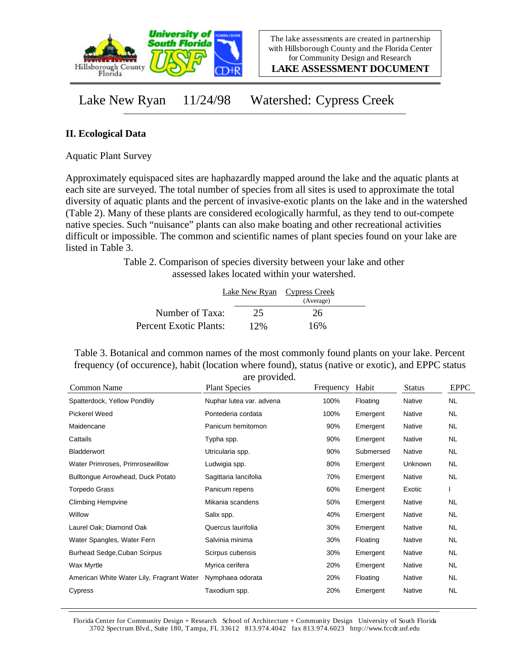

**LAKE ASSESSMENT DOCUMENT**

### Lake New Ryan 11/24/98 Watershed: Cypress Creek

#### **II. Ecological Data**

Aquatic Plant Survey

Approximately equispaced sites are haphazardly mapped around the lake and the aquatic plants at each site are surveyed. The total number of species from all sites is used to approximate the total diversity of aquatic plants and the percent of invasive-exotic plants on the lake and in the watershed (Table 2). Many of these plants are considered ecologically harmful, as they tend to out-compete native species. Such "nuisance" plants can also make boating and other recreational activities difficult or impossible. The common and scientific names of plant species found on your lake are listed in Table 3.

> Table 2. Comparison of species diversity between your lake and other assessed lakes located within your watershed.

|                        |     | Lake New Ryan Cypress Creek |  |  |
|------------------------|-----|-----------------------------|--|--|
|                        |     | (Average)                   |  |  |
| Number of Taxa:        | 25  | 26                          |  |  |
| Percent Exotic Plants: | 12% | 16%                         |  |  |

Table 3. Botanical and common names of the most commonly found plants on your lake. Percent frequency (of occurence), habit (location where found), status (native or exotic), and EPPC status are provided.

| Common Name                               | <b>Plant Species</b>     | Frequency | Habit     | <b>Status</b> | <b>EPPC</b> |
|-------------------------------------------|--------------------------|-----------|-----------|---------------|-------------|
| Spatterdock, Yellow Pondlily              | Nuphar lutea var. advena | 100%      | Floating  | Native        | <b>NL</b>   |
| Pickerel Weed                             | Pontederia cordata       | 100%      | Emergent  | Native        | NL.         |
| Maidencane                                | Panicum hemitomon        | 90%       | Emergent  | Native        | NL.         |
| Cattails                                  | Typha spp.               | 90%       | Emergent  | Native        | NL.         |
| <b>Bladderwort</b>                        | Utricularia spp.         | 90%       | Submersed | Native        | NL.         |
| Water Primroses, Primrosewillow           | Ludwigia spp.            | 80%       | Emergent  | Unknown       | NL          |
| Bulltongue Arrowhead, Duck Potato         | Sagittaria lancifolia    | 70%       | Emergent  | <b>Native</b> | NL.         |
| Torpedo Grass                             | Panicum repens           | 60%       | Emergent  | Exotic        |             |
| <b>Climbing Hempvine</b>                  | Mikania scandens         | 50%       | Emergent  | Native        | NL          |
| Willow                                    | Salix spp.               | 40%       | Emergent  | <b>Native</b> | NL.         |
| Laurel Oak; Diamond Oak                   | Quercus laurifolia       | 30%       | Emergent  | Native        | NL.         |
| Water Spangles, Water Fern                | Salvinia minima          | 30%       | Floating  | Native        | NL.         |
| Burhead Sedge, Cuban Scirpus              | Scirpus cubensis         | 30%       | Emergent  | Native        | NL          |
| Wax Myrtle                                | Myrica cerifera          | 20%       | Emergent  | Native        | NL.         |
| American White Water Lily, Fragrant Water | Nymphaea odorata         | 20%       | Floating  | Native        | NL.         |
| Cypress                                   | Taxodium spp.            | 20%       | Emergent  | <b>Native</b> | <b>NL</b>   |

Florida Center for Community Design + Research School of Architecture + Community Design University of South Florida 3702 Spectrum Blvd., Suite 180, Tampa, FL 33612 813.974.4042 fax 813.974.6023 http://www.fccdr.usf.edu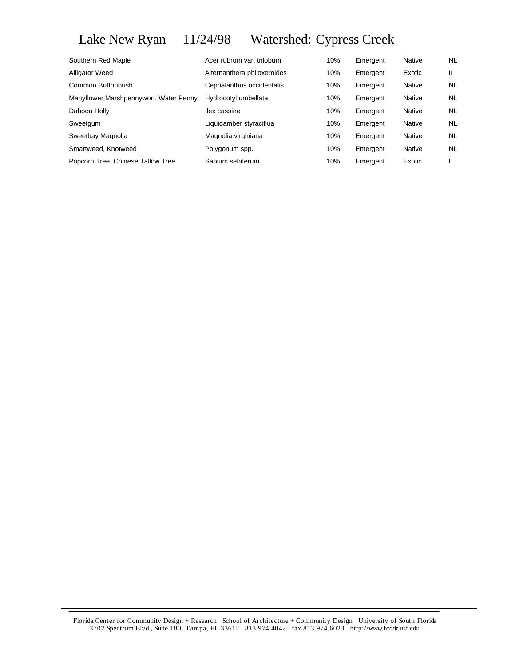## Lake New Ryan 11/24/98 Watershed: Cypress Creek

| Acer rubrum var. trilobum   | 10% | Emergent | Native | <b>NL</b> |
|-----------------------------|-----|----------|--------|-----------|
| Alternanthera philoxeroides | 10% | Emergent | Exotic | Ш         |
| Cephalanthus occidentalis   | 10% | Emergent | Native | <b>NL</b> |
| Hydrocotyl umbellata        | 10% | Emergent | Native | NL        |
| llex cassine                | 10% | Emergent | Native | <b>NL</b> |
| Liquidamber styraciflua     | 10% | Emergent | Native | <b>NL</b> |
| Magnolia virginiana         | 10% | Emergent | Native | <b>NL</b> |
| Polygonum spp.              | 10% | Emergent | Native | <b>NL</b> |
| Sapium sebiferum            | 10% | Emergent | Exotic |           |
|                             |     |          |        |           |

Florida Center for Community Design + Research School of Architecture + Community Design University of South Florida 3702 Spectrum Blvd., Suite 180, Tampa, FL 33612 813.974.4042 fax 813.974.6023 http://www.fccdr.usf.edu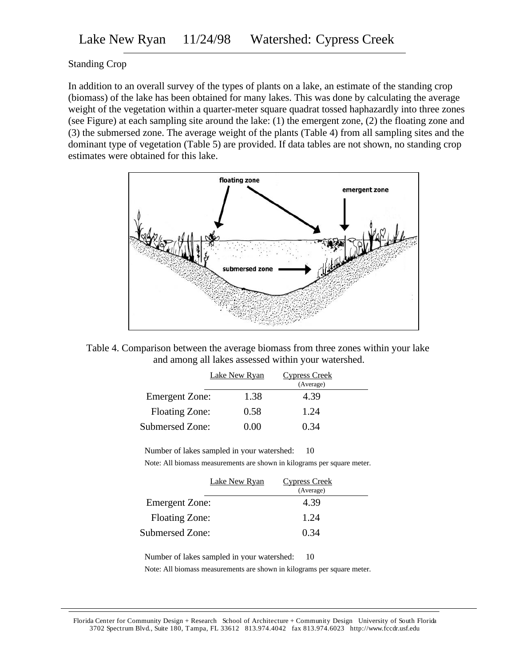#### Standing Crop

In addition to an overall survey of the types of plants on a lake, an estimate of the standing crop (biomass) of the lake has been obtained for many lakes. This was done by calculating the average weight of the vegetation within a quarter-meter square quadrat tossed haphazardly into three zones (see Figure) at each sampling site around the lake: (1) the emergent zone, (2) the floating zone and (3) the submersed zone. The average weight of the plants (Table 4) from all sampling sites and the dominant type of vegetation (Table 5) are provided. If data tables are not shown, no standing crop estimates were obtained for this lake.





|                       | Lake New Ryan | <b>Cypress Creek</b> |  |
|-----------------------|---------------|----------------------|--|
|                       |               | (Average)            |  |
| <b>Emergent Zone:</b> | 1.38          | 4.39                 |  |
| <b>Floating Zone:</b> | 0.58          | 1.24                 |  |
| Submersed Zone:       | 0.00          | 0.34                 |  |

Number of lakes sampled in your watershed: 10

Note: All biomass measurements are shown in kilograms per square meter.

|                       | <b>Lake New Ryan</b> | Cypress Creek<br>(Average) |  |
|-----------------------|----------------------|----------------------------|--|
| <b>Emergent Zone:</b> |                      | 4.39                       |  |
| <b>Floating Zone:</b> |                      | 1.24                       |  |
| Submersed Zone:       |                      | 0.34                       |  |

Number of lakes sampled in your watershed: 10

Note: All biomass measurements are shown in kilograms per square meter.